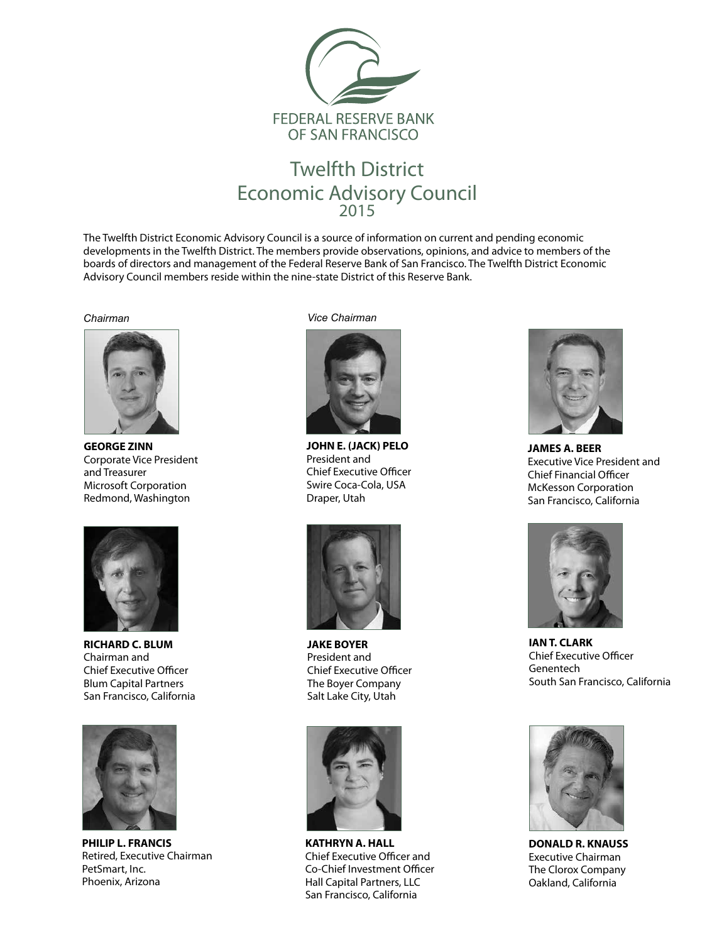

## Twelfth District Economic Advisory Council 2015

The Twelfth District Economic Advisory Council is a source of information on current and pending economic developments in the Twelfth District. The members provide observations, opinions, and advice to members of the boards of directors and management of the Federal Reserve Bank of San Francisco. The Twelfth District Economic Advisory Council members reside within the nine-state District of this Reserve Bank.



**GEORGE ZINN** Corporate Vice President and Treasurer Microsoft Corporation Redmond, Washington



**RICHARD C. BLUM** Chairman and Chief Executive Officer Blum Capital Partners San Francisco, California



**PHILIP L. FRANCIS** Retired, Executive Chairman PetSmart, Inc. Phoenix, Arizona

*Chairman Vice Chairman*



**JOHN E. (JACK) PELO** President and Chief Executive Officer Swire Coca-Cola, USA Draper, Utah



**JAKE BOYER** President and Chief Executive Officer The Boyer Company Salt Lake City, Utah



**KATHRYN A. HALL** Chief Executive Officer and Co-Chief Investment Officer Hall Capital Partners, LLC San Francisco, California



**JAMES A. BEER** Executive Vice President and Chief Financial Officer McKesson Corporation San Francisco, California



**IAN T. CLARK** Chief Executive Officer Genentech South San Francisco, California



**DONALD R. KNAUSS** Executive Chairman The Clorox Company Oakland, California